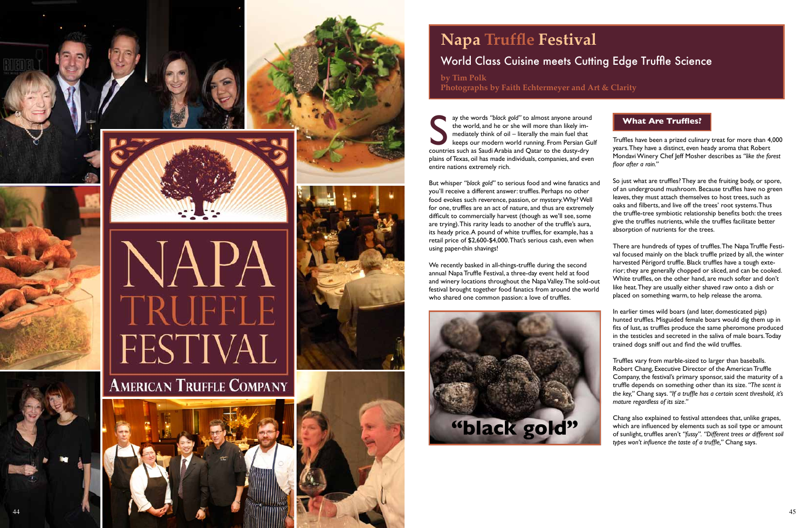### **What Are Truffles?**

Truffles have been a prized culinary treat for more than 4,000 years. They have a distinct, even heady aroma that Robert Mondavi Winery Chef Jeff Mosher describes as *"like the forest floor after a rain."*

So just what are truffles? They are the fruiting body, or spore, of an underground mushroom. Because truffles have no green leaves, they must attach themselves to host trees, such as oaks and filberts, and live off the trees' root systems. Thus the truffle-tree symbiotic relationship benefits both: the trees give the truffles nutrients, while the truffles facilitate better absorption of nutrients for the trees.

There are hundreds of types of truffles. The Napa Truffle Festi val focused mainly on the black truffle prized by all, the winter harvested Périgord truffle. Black truffles have a tough exte rior; they are generally chopped or sliced, and can be cooked. White truffles, on the other hand, are much softer and don't like heat. They are usually either shaved raw onto a dish or placed on something warm, to help release the aroma.

In earlier times wild boars (and later, domesticated pigs) hunted truffles. Misguided female boars would dig them up in fits of lust, as truffles produce the same pheromone produced in the testicles and secreted in the saliva of male boars. Today trained dogs sniff out and find the wild truffles.

Truffles vary from marble-sized to larger than baseballs. Robert Chang, Executive Director of the American Truffle Company, the festival's primary sponsor, said the maturity of a truffle depends on something other than its size. *"The scent is the key,"* Chang says. *"If a truffle has a certain scent threshold, it's mature regardless of its size."*

Chang also explained to festival attendees that, unlike grapes, which are influenced by elements such as soil type or amount of sunlight, truffles aren't *"fussy". "Different trees or different soil types won't influence the taste of a truffle,"* Chang says.

ay the words *"black gold"* to almost anyone around the world, and he or she will more than likely im mediately think of oil – literally the main fuel that keeps our modern world running. From Persian Gulf ay the words "black gold" to almost anyone arounce<br>the world, and he or she will more than likely im-<br>mediately think of oil – literally the main fuel that<br>keeps our modern world running. From Persian G<br>countries such as S plains of Texas, oil has made individuals, companies, and even entire nations extremely rich.

But whisper *"black gold"* to serious food and wine fanatics and you'll receive a different answer: truffles. Perhaps no other food evokes such reverence, passion, or mystery. Why? Well for one, truffles are an act of nature, and thus are extremely difficult to commercially harvest (though as we'll see, some are trying). This rarity leads to another of the truffle's aura, its heady price. A pound of white truffles, for example, has a retail price of \$2,600-\$4,000. That's serious cash, even when using paper-thin shavings!

We recently basked in all-things-truffle during the second annual Napa Truffle Festival, a three-day event held at food and winery locations throughout the Napa Valley. The sold-out festival brought together food fanatics from around the world who shared one common passion: a love of truffles.

# **Napa Truffle Festival** World Class Cuisine meets Cutting Edge Truffle Science

**by Tim Polk Photographs by Faith Echtermeyer and Art & Clarity**